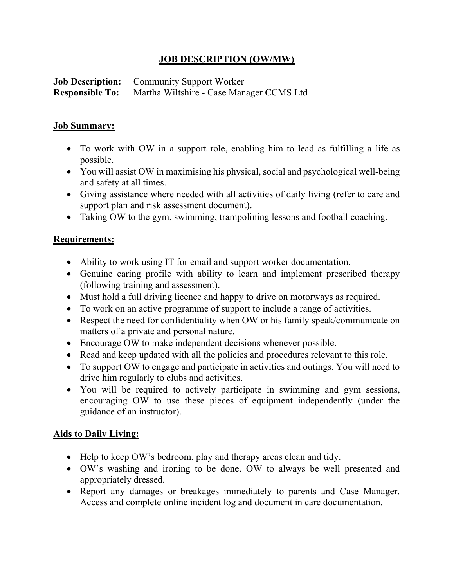## JOB DESCRIPTION (OW/MW)

Job Description: Community Support Worker Responsible To: Martha Wiltshire - Case Manager CCMS Ltd

## Job Summary:

- To work with OW in a support role, enabling him to lead as fulfilling a life as possible.
- You will assist OW in maximising his physical, social and psychological well-being and safety at all times.
- Giving assistance where needed with all activities of daily living (refer to care and support plan and risk assessment document).
- Taking OW to the gym, swimming, trampolining lessons and football coaching.

## Requirements:

- Ability to work using IT for email and support worker documentation.
- Genuine caring profile with ability to learn and implement prescribed therapy (following training and assessment).
- Must hold a full driving licence and happy to drive on motorways as required.
- To work on an active programme of support to include a range of activities.
- Respect the need for confidentiality when OW or his family speak/communicate on matters of a private and personal nature.
- Encourage OW to make independent decisions whenever possible.
- Read and keep updated with all the policies and procedures relevant to this role.
- To support OW to engage and participate in activities and outings. You will need to drive him regularly to clubs and activities.
- You will be required to actively participate in swimming and gym sessions, encouraging OW to use these pieces of equipment independently (under the guidance of an instructor).

## Aids to Daily Living:

- Help to keep OW's bedroom, play and therapy areas clean and tidy.
- OW's washing and ironing to be done. OW to always be well presented and appropriately dressed.
- Report any damages or breakages immediately to parents and Case Manager. Access and complete online incident log and document in care documentation.